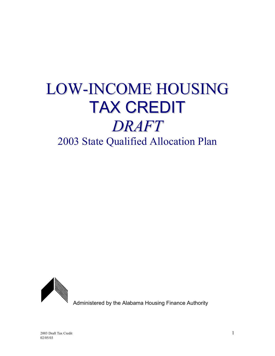# LOW-INCOME HOUSING TAX CREDIT *DRAFT* 2003 State Qualified Allocation Plan



Administered by the Alabama Housing Finance Authority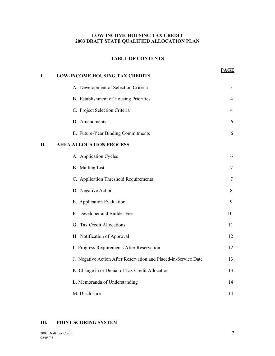#### **LOW-INCOME HOUSING TAX CREDIT 2003 DRAFT STATE QUALIFIED ALLOCATION PLAN**

#### **TABLE OF CONTENTS**

| I. | <b>LOW-INCOME HOUSING TAX CREDITS</b>                           | <b>PAGE</b> |
|----|-----------------------------------------------------------------|-------------|
|    | A. Development of Selection Criteria                            | 3           |
|    | B. Establishment of Housing Priorities                          | 4           |
|    | C. Project Selection Criteria                                   | 4           |
|    | D. Amendments                                                   | 6           |
|    | E. Future-Year Binding Commitments                              | 6           |
| П. | <b>AHFA ALLOCATION PROCESS</b>                                  |             |
|    | A. Application Cycles                                           | 6           |
|    | <b>B.</b> Mailing List                                          | 7           |
|    | C. Application Threshold Requirements                           | 7           |
|    | D. Negative Action                                              | 8           |
|    | E. Application Evaluation                                       | 9           |
|    | F. Developer and Builder Fees                                   | 10          |
|    | G. Tax Credit Allocations                                       | 11          |
|    | H. Notification of Approval                                     | 12          |
|    | I. Progress Requirements After Reservation                      | 12          |
|    | J. Negative Action After Reservation and Placed-in-Service Date | 13          |
|    | K. Change in or Denial of Tax Credit Allocation                 | 13          |
|    | L. Memoranda of Understanding                                   | 14          |
|    | M. Disclosure                                                   | 14          |

#### **III. POINT SCORING SYSTEM**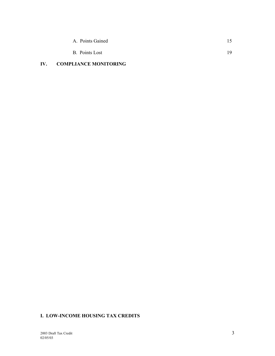| A. Points Gained |     |
|------------------|-----|
| B. Points Lost   | 19. |

## **IV. COMPLIANCE MONITORING**

## **I. LOW-INCOME HOUSING TAX CREDITS**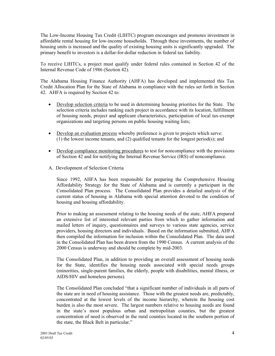The Low-Income Housing Tax Credit (LIHTC) program encourages and promotes investment in affordable rental housing for low-income households. Through these investments, the number of housing units is increased and the quality of existing housing units is significantly upgraded. The primary benefit to investors is a dollar-for-dollar reduction in federal tax liability.

To receive LIHTCs, a project must qualify under federal rules contained in Section 42 of the Internal Revenue Code of 1986 (Section 42).

The Alabama Housing Finance Authority (AHFA) has developed and implemented this Tax Credit Allocation Plan for the State of Alabama in compliance with the rules set forth in Section 42. AHFA is required by Section 42 to:

- Develop selection criteria to be used in determining housing priorities for the State. The selection criteria includes ranking each project in accordance with its location, fulfillment of housing needs, project and applicant characteristics, participation of local tax-exempt organizations and targeting persons on public housing waiting lists;
- Develop an evaluation process whereby preference is given to projects which serve: (1) the lowest income tenants, and (2) qualified tenants for the longest period(s); and
- Develop compliance monitoring procedures to test for noncompliance with the provisions of Section 42 and for notifying the Internal Revenue Service (IRS) of noncompliance.
- A. Development of Selection Criteria

Since 1992, AHFA has been responsible for preparing the Comprehensive Housing Affordability Strategy for the State of Alabama and is currently a participant in the Consolidated Plan process. The Consolidated Plan provides a detailed analysis of the current status of housing in Alabama with special attention devoted to the condition of housing and housing affordability.

Prior to making an assessment relating to the housing needs of the state, AHFA prepared an extensive list of interested relevant parties from which to gather information and mailed letters of inquiry, questionnaires and surveys to various state agencies, service providers, housing directors and individuals. Based on the information submitted, AHFA then compiled the information for inclusion within the Consolidated Plan. The data used in the Consolidated Plan has been drawn from the 1990 Census. A current analysis of the 2000 Census is underway and should be complete by mid-2003.

The Consolidated Plan, in addition to providing an overall assessment of housing needs for the State, identifies the housing needs associated with special needs groups (minorities, single-parent families, the elderly, people with disabilities, mental illness, or AIDS/HIV and homeless persons).

The Consolidated Plan concluded "that a significant number of individuals in all parts of the state are in need of housing assistance. Those with the greatest needs are, predictably, concentrated at the lowest levels of the income hierarchy, wherein the housing cost burden is also the most severe. The largest numbers relative to housing needs are found in the state's most populous urban and metropolitan counties, but the greatest concentration of need is observed in the rural counties located in the southern portion of the state, the Black Belt in particular."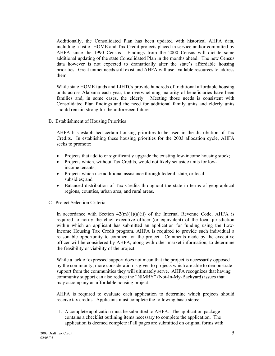Additionally, the Consolidated Plan has been updated with historical AHFA data, including a list of HOME and Tax Credit projects placed in service and/or committed by AHFA since the 1990 Census. Findings from the 2000 Census will dictate some additional updating of the state Consolidated Plan in the months ahead. The new Census data however is not expected to dramatically alter the state's affordable housing priorities. Great unmet needs still exist and AHFA will use available resources to address them.

While state HOME funds and LIHTCs provide hundreds of traditional affordable housing units across Alabama each year, the overwhelming majority of beneficiaries have been families and, in some cases, the elderly. Meeting those needs is consistent with Consolidated Plan findings and the need for additional family units and elderly units should remain strong for the unforeseen future.

B. Establishment of Housing Priorities

AHFA has established certain housing priorities to be used in the distribution of Tax Credits. In establishing these housing priorities for the 2003 allocation cycle, AHFA seeks to promote:

- Projects that add to or significantly upgrade the existing low-income housing stock;
- Projects which, without Tax Credits, would not likely set aside units for lowincome tenants;
- Projects which use additional assistance through federal, state, or local subsidies; and
- Balanced distribution of Tax Credits throughout the state in terms of geographical regions, counties, urban area, and rural areas.
- C. Project Selection Criteria

In accordance with Section  $42(m)(1)(a)(ii)$  of the Internal Revenue Code, AHFA is required to notify the chief executive officer (or equivalent) of the local jurisdiction within which an applicant has submitted an application for funding using the Low-Income Housing Tax Credit program. AHFA is required to provide such individual a reasonable opportunity to comment on the project. Comments made by the executive officer will be considered by AHFA, along with other market information, to determine the feasibility or viability of the project.

While a lack of expressed support does not mean that the project is necessarily opposed by the community, more consideration is given to projects which are able to demonstrate support from the communities they will ultimately serve. AHFA recognizes that having community support can also reduce the "NIMBY" (Not-In-My-Backyard) issues that may accompany an affordable housing project.

AHFA is required to evaluate each application to determine which projects should receive tax credits. Applicants must complete the following basic steps:

1. A complete application must be submitted to AHFA. The application package contains a checklist outlining items necessary to complete the application. The application is deemed complete if all pages are submitted on original forms with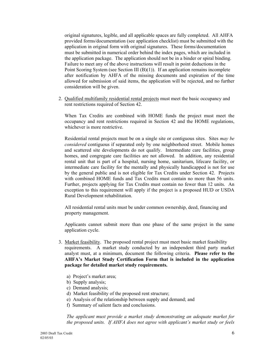original signatures, legible, and all applicable spaces are fully completed. All AHFA provided forms/documentation (see application checklist) must be submitted with the application in original form with original signatures. These forms/documentation must be submitted in numerical order behind the index pages, which are included in the application package. The application should not be in a binder or spiral binding. Failure to meet any of the above instructions will result in point deductions in the Point Scoring System (see Section III (B)(1)). If an application remains incomplete after notification by AHFA of the missing documents and expiration of the time allowed for submission of said items, the application will be rejected, and no further consideration will be given.

2. Qualified multifamily residential rental projects must meet the basic occupancy and rent restrictions required of Section 42.

When Tax Credits are combined with HOME funds the project must meet the occupancy and rent restrictions required in Section 42 and the HOME regulations, whichever is more restrictive.

Residential rental projects must be on a single site or contiguous sites. Sites *may be considered* contiguous if separated only by one neighborhood street. Mobile homes and scattered site developments do not qualify. Intermediate care facilities, group homes, and congregate care facilities are not allowed. In addition, any residential rental unit that is part of a hospital, nursing home, sanitarium, lifecare facility, or intermediate care facility for the mentally and physically handicapped is not for use by the general public and is not eligible for Tax Credits under Section 42. Projects with combined HOME funds and Tax Credits must contain no more than 56 units. Further, projects applying for Tax Credits must contain no fewer than 12 units. An exception to this requirement will apply if the project is a proposed HUD or USDA Rural Development rehabilitation.

 All residential rental units must be under common ownership, deed, financing and property management.

Applicants cannot submit more than one phase of the same project in the same application cycle.

- 3. Market feasibility. The proposed rental project must meet basic market feasibility requirements. A market study conducted by an independent third party market analyst must, at a minimum, document the following criteria. **Please refer to the AHFA's Market Study Certification Form that is included in the application package for detailed market study requirements.**
	- a) Project's market area;
	- b) Supply analysis;
	- c) Demand analysis;
	- d) Market feasibility of the proposed rent structure;
	- e) Analysis of the relationship between supply and demand; and
	- f) Summary of salient facts and conclusions.

*The applicant must provide a market study demonstrating an adequate market for the proposed units. If AHFA does not agree with applicant's market study or feels*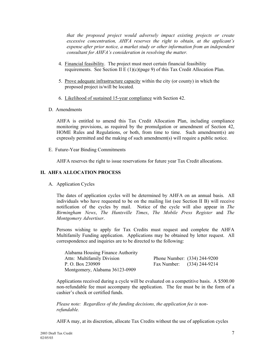*that the proposed project would adversely impact existing projects or create excessive concentration, AHFA reserves the right to obtain, at the applicant's expense after prior notice, a market study or other information from an independent consultant for AHFA's consideration in resolving the matter.*

- 4. Financial feasibility. The project must meet certain financial feasibility requirements. See Section II E (1)(c)(page 9) of this Tax Credit Allocation Plan.
- 5. Prove adequate infrastructure capacity within the city (or county) in which the proposed project is/will be located.
- 6. Likelihood of sustained 15-year compliance with Section 42.
- D. Amendments

AHFA is entitled to amend this Tax Credit Allocation Plan, including compliance monitoring provisions, as required by the promulgation or amendment of Section 42, HOME Rules and Regulations, or both, from time to time. Such amendment(s) are expressly permitted and the making of such amendment(s) will require a public notice.

E. Future-Year Binding Commitments

AHFA reserves the right to issue reservations for future year Tax Credit allocations.

#### **II. AHFA ALLOCATION PROCESS**

A. Application Cycles

The dates of application cycles will be determined by AHFA on an annual basis. All individuals who have requested to be on the mailing list (see Section II B) will receive notification of the cycles by mail. Notice of the cycle will also appear in *The Birmingham News*, *The Huntsville Times*, *The Mobile Press Register* and *The Montgomery Advertiser*.

Persons wishing to apply for Tax Credits must request and complete the AHFA Multifamily Funding application. Applications may be obtained by letter request. All correspondence and inquiries are to be directed to the following:

| Alabama Housing Finance Authority |                              |
|-----------------------------------|------------------------------|
| Attn: Multifamily Division        | Phone Number: (334) 244-9200 |
| P. O. Box 230909                  | Fax Number: (334) 244-9214   |
| Montgomery, Alabama 36123-0909    |                              |

Applications received during a cycle will be evaluated on a competitive basis. A \$500.00 non-refundable fee must accompany the application. The fee must be in the form of a cashier's check or certified funds.

*Please note: Regardless of the funding decisions, the application fee is nonrefundable.*

AHFA may, at its discretion, allocate Tax Credits without the use of application cycles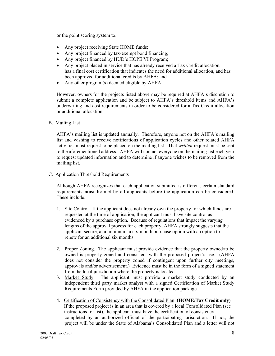or the point scoring system to:

- Any project receiving State HOME funds;
- Any project financed by tax-exempt bond financing;
- Any project financed by HUD's HOPE VI Program;
- Any project placed in service that has already received a Tax Credit allocation, has a final cost certification that indicates the need for additional allocation, and has been approved for additional credits by AHFA; and
- Any other program(s) deemed eligible by AHFA.

However, owners for the projects listed above may be required at AHFA's discretion to submit a complete application and be subject to AHFA's threshold items and AHFA's underwriting and cost requirements in order to be considered for a Tax Credit allocation or additional allocation.

B. Mailing List

AHFA's mailing list is updated annually. Therefore, anyone not on the AHFA's mailing list and wishing to receive notifications of application cycles and other related AHFA activities must request to be placed on the mailing list. That *written* request must be sent to the aforementioned address. AHFA will contact everyone on the mailing list each year to request updated information and to determine if anyone wishes to be removed from the mailing list.

C. Application Threshold Requirements

Although AHFA recognizes that each application submitted is different, certain standard requirements **must be** met by all applicants before the application can be considered. These include:

- 1. Site Control. If the applicant does not already own the property for which funds are requested at the time of application, the applicant must have site control as evidenced by a purchase option. Because of regulations that impact the varying lengths of the approval process for each property, AHFA strongly suggests that the applicant secure, at a minimum, a six-month purchase option with an option to renew for an additional six months.
- 2. Proper Zoning. The applicant must provide evidence that the property owned/to be owned is properly zoned and consistent with the proposed project's use. (AHFA does not consider the property zoned if contingent upon further city meetings, approvals and/or advertisement.) Evidence must be in the form of a signed statement from the local jurisdiction where the property is located.
- 3. Market Study. The applicant must provide a market study conducted by an independent third party market analyst with a signed Certification of Market Study Requirements Form provided by AHFA in the application package.
- 4. Certification of Consistency with the Consolidated Plan. **(HOME/Tax Credit only)** If the proposed project is in an area that is covered by a local Consolidated Plan (see instructions for list), the applicant must have the certification of consistency completed by an authorized official of the participating jurisdiction. If not, the project will be under the State of Alabama's Consolidated Plan and a letter will not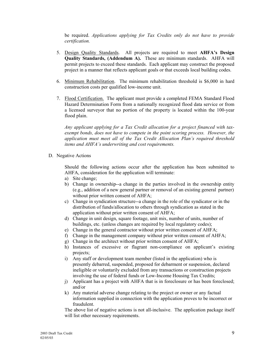be required. *Applications applying for Tax Credits only do not have to provide certification.*

- 5. Design Quality Standards. All projects are required to meet **AHFA's Design Quality Standards, (Addendum A).** These are minimum standards. AHFA will permit projects to exceed these standards. Each applicant may construct the proposed project in a manner that reflects applicant goals or that exceeds local building codes.
- 6. Minimum Rehabilitation. The minimum rehabilitation threshold is \$6,000 in hard construction costs per qualified low-income unit.
- 7. Flood Certification. The applicant must provide a completed FEMA Standard Flood Hazard Determination Form from a nationally recognized flood data service or from a licensed surveyor that no portion of the property is located within the 100-year flood plain.

*Any applicant applying for a Tax Credit allocation for a project financed with taxexempt bonds, does not have to compete in the point scoring process. However, the application must meet all of the Tax Credit Allocation Plan's required threshold items and AHFA's underwriting and cost requirements.*

D. Negative Actions

Should the following actions occur after the application has been submitted to AHFA, consideration for the application will terminate:

- a) Site change;
- b) Change in ownership--a change in the parties involved in the ownership entity (e.g., addition of a new general partner or removal of an existing general partner) without prior written consent of AHFA;
- c) Change in syndication structure--a change in the role of the syndicator or in the distribution of funds/allocation to others through syndication as stated in the application without prior written consent of AHFA;
- d) Change in unit design, square footage, unit mix, number of units, number of buildings, etc. (unless changes are required by local regulatory codes);
- e) Change in the general contractor without prior written consent of AHFA;
- f) Change in the management company without prior written consent of AHFA;
- g) Change in the architect without prior written consent of AHFA;
- h) Instances of excessive or flagrant non-compliance on applicant's existing projects;
- i) Any staff or development team member (listed in the application) who is presently debarred, suspended, proposed for debarment or suspension, declared ineligible or voluntarily excluded from any transactions or construction projects involving the use of federal funds or Low-Income Housing Tax Credits;
- j) Applicant has a project with AHFA that is in foreclosure or has been foreclosed; and/or
- k) Any material adverse change relating to the project or owner or any factual information supplied in connection with the application proves to be incorrect or fraudulent.

The above list of negative actions is not all-inclusive. The application package itself will list other necessary requirements.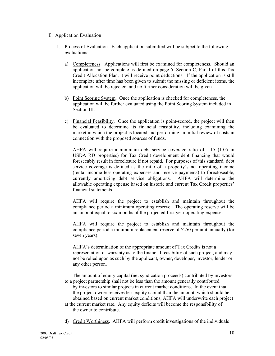- E. Application Evaluation
	- 1. Process of Evaluation. Each application submitted will be subject to the following evaluations:
		- a) Completeness. Applications will first be examined for completeness. Should an application not be complete as defined on page 5, Section C, Part I of this Tax Credit Allocation Plan, it will receive point deductions. If the application is still incomplete after time has been given to submit the missing or deficient items, the application will be rejected, and no further consideration will be given.
		- b) Point Scoring System. Once the application is checked for completeness, the application will be further evaluated using the Point Scoring System included in Section III.
		- c) Financial Feasibility. Once the application is point-scored, the project will then be evaluated to determine its financial feasibility, including examining the market in which the project is located and performing an initial review of costs in connection with the proposed sources of funds.

AHFA will require a minimum debt service coverage ratio of 1.15 (1.05 in USDA RD properties) for Tax Credit development debt financing that would foreseeably result in foreclosure if not repaid. For purposes of this standard, debt service coverage is defined as the ratio of a property's net operating income (rental income less operating expenses and reserve payments) to forecloseable, currently amortizing debt service obligations. AHFA will determine the allowable operating expense based on historic and current Tax Credit properties' financial statements.

AHFA will require the project to establish and maintain throughout the compliance period a minimum operating reserve. The operating reserve will be an amount equal to six months of the projected first year operating expenses.

AHFA will require the project to establish and maintain throughout the compliance period a minimum replacement reserve of \$250 per unit annually (for seven years).

AHFA's determination of the appropriate amount of Tax Credits is not a representation or warranty as to the financial feasibility of such project, and may not be relied upon as such by the applicant, owner, developer, investor, lender or any other person.

The amount of equity capital (net syndication proceeds) contributed by investors to a project partnership shall not be less than the amount generally contributed by investors to similar projects in current market conditions. In the event that the project owner receives less equity capital than the amount, which should be obtained based on current market conditions, AHFA will underwrite each project

- at the current market rate. Any equity deficits will become the responsibility of the owner to contribute.
- d) Credit Worthiness. AHFA will perform credit investigations of the individuals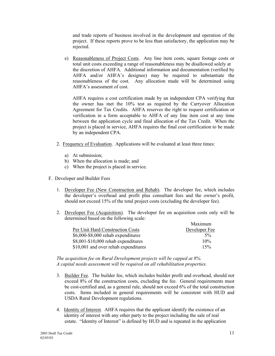and trade reports of business involved in the development and operation of the project. If these reports prove to be less than satisfactory, the application may be rejected.

e) Reasonableness of Project Costs. Any line item costs, square footage costs or total unit costs exceeding a range of reasonableness may be disallowed solely at the discretion of AHFA. Additional information and documentation (verified by AHFA and/or AHFA's designee) may be required to substantiate the reasonableness of the cost. Any allocation made will be determined using AHFA's assessment of cost.

AHFA requires a cost certification made by an independent CPA verifying that the owner has met the 10% test as required by the Carryover Allocation Agreement for Tax Credits. AHFA reserves the right to request certification or verification in a form acceptable to AHFA of any line item cost at any time between the application cycle and final allocation of the Tax Credit. When the project is placed in service, AHFA requires the final cost certification to be made by an independent CPA.

- 2. Frequency of Evaluation. Applications will be evaluated at least three times:
	- a) At submission;
	- b) When the allocation is made; and
	- c) When the project is placed in service.
- F. Developer and Builder Fees
	- 1. Developer Fee (New Construction and Rehab). The developer fee, which includes the developer's overhead and profit plus consultant fees and the owner's profit, should not exceed 15% of the total project costs (excluding the developer fee).
	- 2. Developer Fee (Acquisition). The developer fee on acquisition costs only will be determined based on the following scale:

|                                      | Maximum       |
|--------------------------------------|---------------|
| Per Unit Hard Construction Costs     | Developer Fee |
| \$6,000-\$8,000 rehab expenditures   | $5\%$         |
| $$8,001-\$10,000$ rehab expenditures | 10%           |
| \$10,001 and over rehab expenditures | 15%           |

*The acquisition fee on Rural Development projects will be capped at 8%. A capital needs assessment will be required on all rehabilitation properties.*

- 3. Builder Fee. The builder fee, which includes builder profit and overhead, should not exceed 8% of the construction costs, excluding the fee. General requirements must be cost-certified and, as a general rule, should not exceed 6% of the total construction costs. Items included in general requirements will be consistent with HUD and USDA Rural Development regulations.
- 4. Identity of Interest. AHFA requires that the applicant identify the existence of an identity of interest with any other party to the project including the sale of real estate. "Identity of Interest" is defined by HUD and is repeated in the application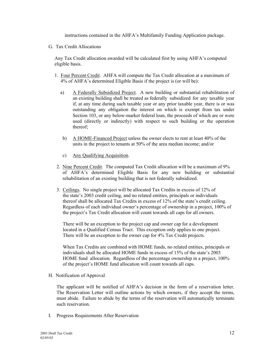instructions contained in the AHFA's Multifamily Funding Application package.

G. Tax Credit Allocations

Any Tax Credit allocation awarded will be calculated first by using AHFA's computed eligible basis.

- 1. Four Percent Credit. AHFA will compute the Tax Credit allocation at a maximum of 4% of AHFA's determined Eligible Basis if the project is (or will be):
	- a) A Federally Subsidized Project. A new building or substantial rehabilitation of an existing building shall be treated as federally subsidized for any taxable year if, at any time during such taxable year or any prior taxable year, there is or was outstanding any obligation the interest on which is exempt from tax under Section 103, or any below-market federal loan, the proceeds of which are or were used (directly or indirectly) with respect to such building or the operation thereof;
	- b) A HOME-Financed Project unless the owner elects to rent at least 40% of the units in the project to tenants at 50% of the area median income; and/or
	- c) Any Qualifying Acquisition.
- 2. Nine Percent Credit. The computed Tax Credit allocation will be a maximum of 9% of AHFA's determined Eligible Basis for any new building or substantial rehabilitation of an existing building that is not federally subsidized.
- 3. Ceilings. No single project will be allocated Tax Credits in excess of 12% of the state's 2003 credit ceiling, and no related entities, principals or individuals thereof shall be allocated Tax Credits in excess of 12% of the state's credit ceiling. Regardless of each individual owner's percentage of ownership in a project, 100% of the project's Tax Credit allocation will count towards all caps for all owners.

 There will be an exception to the project cap and owner cap for a development located in a Qualified Census Tract. This exception only applies to one project. There will be an exception to the owner cap for 4% Tax Credit projects.

 When Tax Credits are combined with HOME funds, no related entities, principals or individuals shall be allocated HOME funds in excess of 15% of the state's 2003 HOME fund allocation. Regardless of the percentage ownership in a project, 100% of the project's HOME fund allocation will count towards all caps.

H. Notification of Approval

The applicant will be notified of AHFA's decision in the form of a reservation letter. The Reservation Letter will outline actions by which owners, if they accept the terms, must abide. Failure to abide by the terms of the reservation will automatically terminate such reservation.

I. Progress Requirements After Reservation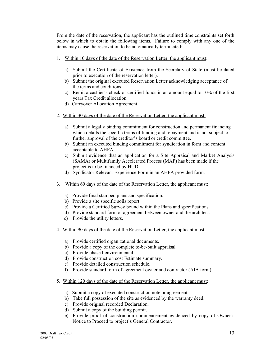From the date of the reservation, the applicant has the outlined time constraints set forth below in which to obtain the following items. Failure to comply with any one of the items may cause the reservation to be automatically terminated:

- 1. Within 10 days of the date of the Reservation Letter, the applicant must:
	- a) Submit the Certificate of Existence from the Secretary of State (must be dated prior to execution of the reservation letter).
	- b) Submit the original executed Reservation Letter acknowledging acceptance of the terms and conditions.
	- c) Remit a cashier's check or certified funds in an amount equal to 10% of the first years Tax Credit allocation.
	- d) Carryover Allocation Agreement.
- 2. Within 30 days of the date of the Reservation Letter, the applicant must:
	- a) Submit a legally binding commitment for construction and permanent financing which details the specific terms of funding and repayment and is not subject to further approval of the creditor's board or credit committee.
	- b) Submit an executed binding commitment for syndication in form and content acceptable to AHFA.
	- c) Submit evidence that an application for a Site Appraisal and Market Analysis (SAMA) or Multifamily Accelerated Process (MAP) has been made if the project is to be financed by HUD.
	- d) Syndicator Relevant Experience Form in an AHFA provided form.
- 3. Within 60 days of the date of the Reservation Letter, the applicant must:
	- a) Provide final stamped plans and specification.
	- b) Provide a site specific soils report.
	- c) Provide a Certified Survey bound within the Plans and specifications.
	- d) Provide standard form of agreement between owner and the architect.
	- c) Provide the utility letters.
- 4. Within 90 days of the date of the Reservation Letter, the applicant must:
	- a) Provide certified organizational documents.
	- b) Provide a copy of the complete to-be-built appraisal.
	- c) Provide phase I environmental.
	- d) Provide construction cost Estimate summary.
	- e) Provide detailed construction schedule.
	- f) Provide standard form of agreement owner and contractor (AIA form)
- 5. Within 120 days of the date of the Reservation Letter, the applicant must:
	- a) Submit a copy of executed construction note or agreement.
	- b) Take full possession of the site as evidenced by the warranty deed.
	- c) Provide original recorded Declaration.
	- d) Submit a copy of the building permit.
	- e) Provide proof of construction commencement evidenced by copy of Owner's Notice to Proceed to project's General Contractor.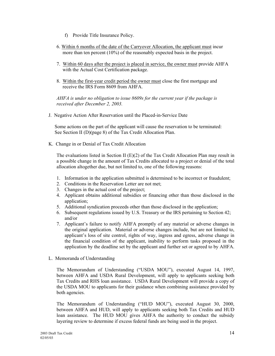- f) Provide Title Insurance Policy.
- 6. Within 6 months of the date of the Carryover Allocation, the applicant must incur more than ten percent (10%) of the reasonably expected basis in the project.
- 7. Within 60 days after the project is placed in service, the owner must provide AHFA with the Actual Cost Certification package.
- 8. Within the first-year credit period the owner must close the first mortgage and receive the IRS Form 8609 from AHFA.

*AHFA is under no obligation to issue 8609s for the current year if the package is received after December 2, 2003.*

J. Negative Action After Reservation until the Placed-in-Service Date

 Some actions on the part of the applicant will cause the reservation to be terminated: See Section II (D)(page 8) of the Tax Credit Allocation Plan.

K. Change in or Denial of Tax Credit Allocation

The evaluations listed in Section II  $(E)(2)$  of the Tax Credit Allocation Plan may result in a possible change in the amount of Tax Credits allocated to a project or denial of the total allocation altogether due, but not limited to, one of the following reasons:

- 1. Information in the application submitted is determined to be incorrect or fraudulent;
- 2. Conditions in the Reservation Letter are not met;
- 3. Changes in the actual cost of the project;
- 4. Applicant obtains additional subsidies or financing other than those disclosed in the application;
- 5. Additional syndication proceeds other than those disclosed in the application;
- 6. Subsequent regulations issued by U.S. Treasury or the IRS pertaining to Section 42; and/or
- 7. Applicant's failure to notify AHFA promptly of any material or adverse changes in the original application. Material or adverse changes include, but are not limited to, applicant's loss of site control, rights of way, ingress and egress, adverse change in the financial condition of the applicant, inability to perform tasks proposed in the application by the deadline set by the applicant and further set or agreed to by AHFA.
- L. Memoranda of Understanding

The Memorandum of Understanding ("USDA MOU"), executed August 14, 1997, between AHFA and USDA Rural Development, will apply to applicants seeking both Tax Credits and RHS loan assistance. USDA Rural Development will provide a copy of the USDA MOU to applicants for their guidance when combining assistance provided by both agencies.

The Memorandum of Understanding ("HUD MOU"), executed August 30, 2000, between AHFA and HUD, will apply to applicants seeking both Tax Credits and HUD loan assistance. The HUD MOU gives AHFA the authority to conduct the subsidy layering review to determine if excess federal funds are being used in the project.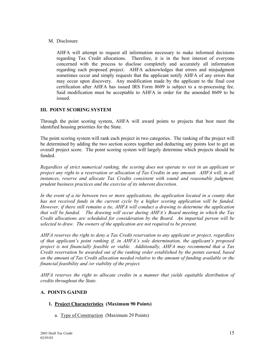#### M. Disclosure

AHFA will attempt to request all information necessary to make informed decisions regarding Tax Credit allocations. Therefore, it is in the best interest of everyone concerned with the process to disclose completely and accurately all information regarding each proposed project. AHFA acknowledges that errors and misjudgment sometimes occur and simply requests that the applicant notify AHFA of any errors that may occur upon discovery. Any modification made by the applicant to the final cost certification after AHFA has issued IRS Form 8609 is subject to a re-processing fee. Said modification must be acceptable to AHFA in order for the amended 8609 to be issued.

#### **III. POINT SCORING SYSTEM**

Through the point scoring system, AHFA will award points to projects that best meet the identified housing priorities for the State.

The point scoring system will rank each project in two categories. The ranking of the project will be determined by adding the two section scores together and deducting any points lost to get an overall project score. The point scoring system will largely determine which projects should be funded.

*Regardless of strict numerical ranking, the scoring does not operate to vest in an applicant or project any right to a reservation or allocation of Tax Credits in any amount. AHFA will, in all instances, reserve and allocate Tax Credits consistent with sound and reasonable judgment, prudent business practices and the exercise of its inherent discretion.*

*In the event of a tie between two or more applications, the application located in a county that has not received funds in the current cycle by a higher scoring application will be funded. However, if there still remains a tie, AHFA will conduct a drawing to determine the application that will be funded. The drawing will occur during AHFA's Board meeting in which the Tax Credit allocations are scheduled for consideration by the Board. An impartial person will be selected to draw. The owners of the application are not required to be present.* 

*AHFA reserves the right to deny a Tax Credit reservation to any applicant or project, regardless of that applicant's point ranking if, in AHFA's sole determination, the applicant's proposed project is not financially feasible or viable. Additionally, AHFA may recommend that a Tax Credit reservation be awarded out of the ranking order established by the points earned, based on the amount of Tax Credit allocation needed relative to the amount of funding available or the financial feasibility and /or viability of the project.*

*AHFA reserves the right to allocate credits in a manner that yields equitable distribution of credits throughout the State.*

#### **A. POINTS GAINED**

#### **1. Project Characteristics (Maximum 90 Points)**

a. Type of Construction (Maximum 29 Points)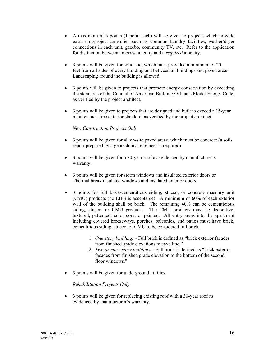- A maximum of 5 points (1 point each) will be given to projects which provide extra unit/project amenities such as common laundry facilities, washer/dryer connections in each unit, gazebo, community TV, etc. Refer to the application for distinction between an *extra* amenity and a *required* amenity.
- 3 points will be given for solid sod, which must provided a minimum of 20 feet from all sides of every building and between all buildings and paved areas. Landscaping around the building is allowed.
- 3 points will be given to projects that promote energy conservation by exceeding the standards of the Council of American Building Officials Model Energy Code, as verified by the project architect.
- 3 points will be given to projects that are designed and built to exceed a 15-year maintenance-free exterior standard, as verified by the project architect.

#### *New Construction Projects Only*

- 3 points will be given for all on-site paved areas, which must be concrete (a soils report prepared by a geotechnical engineer is required).
- 3 points will be given for a 30-year roof as evidenced by manufacturer's warranty.
- 3 points will be given for storm windows and insulated exterior doors or Thermal break insulated windows and insulated exterior doors.
- 3 points for full brick/cementitious siding, stucco, or concrete masonry unit (CMU) products (no EIFS is acceptable). A minimum of 60% of each exterior wall of the building shall be brick. The remaining 40% can be cementicious siding, stucco, or CMU products. The CMU products must be decorative, textured, patterned, color core, or painted. All entry areas into the apartment including covered breezeways, porches, balconies, and patios must have brick, cementitious siding, stucco, or CMU to be considered full brick.
	- 1. *One story buildings* Full brick is defined as "brick exterior facades from finished grade elevations to eave line."
	- 2. *Two or more story buildings* Full brick is defined as "brick exterior facades from finished grade elevation to the bottom of the second floor windows."
- 3 points will be given for underground utilities.

#### *Rehabilitation Projects Only*

• 3 points will be given for replacing existing roof with a 30-year roof as evidenced by manufacturer's warranty.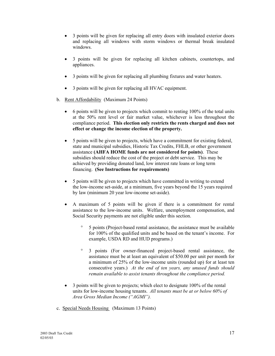- 3 points will be given for replacing all entry doors with insulated exterior doors and replacing all windows with storm windows or thermal break insulated windows.
- 3 points will be given for replacing all kitchen cabinets, countertops, and appliances.
- 3 points will be given for replacing all plumbing fixtures and water heaters.
- 3 points will be given for replacing all HVAC equipment.
- b. Rent Affordability (Maximum 24 Points)
	- 6 points will be given to projects which commit to renting 100% of the total units at the 50% rent level or fair market value, whichever is less throughout the compliance period. **This election only restricts the rents charged and does not effect or change the income election of the property.**
	- 5 points will be given to projects, which have a commitment for existing federal, state and municipal subsidies, Historic Tax Credits, FHLB, or other government assistance **(AHFA HOME funds are not considered for points)**. These subsidies should reduce the cost of the project or debt service. This may be achieved by providing donated land, low interest rate loans or long term financing. **(See Instructions for requirements)**
	- 5 points will be given to projects which have committed in writing to extend the low-income set-aside, at a minimum, five years beyond the 15 years required by law (minimum 20 year low-income set-aside).
	- A maximum of 5 points will be given if there is a commitment for rental assistance to the low-income units. Welfare, unemployment compensation, and Social Security payments are not eligible under this section.
		- ° 5 points (Project-based rental assistance, the assistance must be available for 100% of the qualified units and be based on the tenant's income. For example, USDA RD and HUD programs.)
		- ° 3 points (For owner-financed project-based rental assistance, the assistance must be at least an equivalent of \$50.00 per unit per month for a minimum of 25% of the low-income units (rounded up) for at least ten consecutive years.) *At the end of ten years, any unused funds should remain available to assist tenants throughout the compliance period.*
	- 3 points will be given to projects; which elect to designate 100% of the rental units for low-income housing tenants. *All tenants must be at or below 60% of Area Gross Median Income ("AGMI").*
- c. Special Needs Housing (Maximum 13 Points)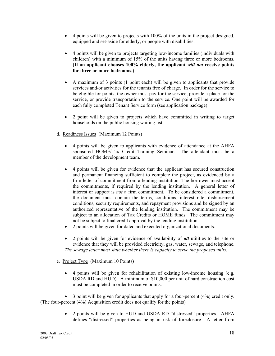- 4 points will be given to projects with 100% of the units in the project designed, equipped and set-aside for elderly, or people with disabilities.
- 4 points will be given to projects targeting low-income families (individuals with children) with a minimum of 15% of the units having three or more bedrooms. **(If an applicant chooses 100% elderly, the applicant** *will not* **receive points for three or more bedrooms.)**
- A maximum of 3 points (1 point each) will be given to applicants that provide services and/or activities for the tenants free of charge. In order for the service to be eligible for points, the owner must pay for the service, provide a place for the service, or provide transportation to the service. One point will be awarded for each fully completed Tenant Service form (see application package).
- 2 point will be given to projects which have committed in writing to target households on the public housing waiting list.
- d. Readiness Issues (Maximum 12 Points)
	- 4 points will be given to applicants with evidence of attendance at the AHFA sponsored HOME/Tax Credit Training Seminar. The attendant must be a member of the development team.
	- 4 points will be given for evidence that the applicant has secured construction and permanent financing sufficient to complete the project, as evidenced by a firm letter of commitment from a lending institution. The borrower must accept the commitments, if required by the lending institution. A general letter of interest or support is *not* a firm commitment. To be considered a commitment, the document must contain the terms, conditions, interest rate, disbursement conditions, security requirements, and repayment provisions and be signed by an authorized representative of the lending institution. The commitment may be subject to an allocation of Tax Credits or HOME funds. The commitment may not be subject to final credit approval by the lending institution.
	- 2 points will be given for dated and executed organizational documents.
	- 2 points will be given for evidence of availability of *all* utilities to the site or evidence that they will be provided electricity, gas, water, sewage, and telephone. *The sewage letter must state whether there is capacity to serve the proposed units.*
- e. Project Type (Maximum 10 Points)
	- 4 points will be given for rehabilitation of existing low-income housing (e.g. USDA RD and HUD). A minimum of \$10,000 per unit of hard construction cost must be completed in order to receive points.

• 3 point will be given for applicants that apply for a four-percent (4%) credit only. (The four-percent (4%) Acquisition credit does not qualify for the points)

> • 2 points will be given to HUD and USDA RD "distressed" properties. AHFA defines "distressed" properties as being in risk of foreclosure. A letter from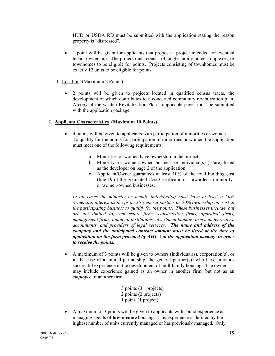HUD or USDA RD must be submitted with the application stating the reason property is "distressed".

- 1 point will be given for applicants that propose a project intended for eventual tenant ownership. The project must consist of single-family homes, duplexes, or townhomes to be eligible for points. Projects consisting of townhomes must be exactly 12 units to be eligible for points
- f. Location (Maximum 2 Points)
	- 2 points will be given to projects located in qualified census tracts, the development of which contributes to a concerted community revitalization plan. A copy of the written Revitalization Plan's applicable pages must be submitted with the application package.

#### 2. **Applicant Characteristics (Maximum 10 Points)**

- 4 points will be given to applicants with participation of minorities or women. To qualify for the points for participation of minorities or women the application must meet one of the following requirements:
	- a. Minorities or women have ownership in the project;
	- b. Minority- or women-owned business or individual(s) (is/are) listed as the developer on page 2 of the application;
	- c. Applicant/Owner guarantees at least 10% of the total building cost (line 19 of the Estimated Cost Certification) is awarded to minorityor women-owned businesses.

*In all cases the minority or female individual(s) must have at least a 50% ownership interest as the project's general partner or 50% ownership interest in the participating business to qualify for the points. These businesses include, but are not limited to, real estate firms, construction firms, appraisal firms, management firms, financial institutions, investment banking firms, underwriters, accountants, and providers of legal services. The name and address of the company and the anticipated contract amount must be listed at the time of application on the form provided by AHFA in the application package in order to receive the points.*

• A maximum of 3 points will be given to owners (individual(s), corporation(s), or in the case of a limited partnership, the general partner(s)) who have previous successful experience in the development of multifamily housing. The owner may include experience gained as an owner in another firm, but not as an *employee* of another firm.

> 3 points (3+ projects) 2 points (2 projects) 1 point (1 project)

• A maximum of 3 points will be given to applicants with sound experience as managing agents of **low-income** housing. This experience is defined by the highest number of units currently managed or has previously managed. Only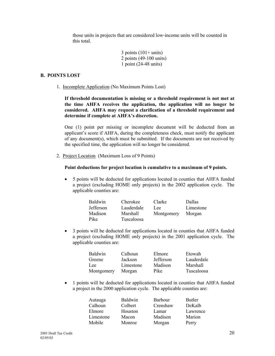those units in projects that are considered low-income units will be counted in this total.

> $3$  points  $(101+$  units) 2 points (49-100 units) 1 point (24-48 units)

#### **B. POINTS LOST**

1. Incomplete Application (No Maximum Points Lost)

**If threshold documentation is missing or a threshold requirement is not met at the time AHFA receives the application, the application will no longer be considered. AHFA may request a clarification of a threshold requirement and determine if complete at AHFA's discretion.** 

One (1) point per missing or incomplete document will be deducted from an applicant's score if AHFA, during the completeness check, must notify the applicant of any document(s), which must be submitted. If the documents are not received by the specified time, the application will no longer be considered.

2. Project Location (Maximum Loss of 9 Points)

#### **Point deductions for project location is cumulative to a maximum of 9 points.**

• 5 points will be deducted for applications located in counties that AHFA funded a project (excluding HOME only projects) in the 2002 application cycle. The applicable counties are:

| <b>Baldwin</b> | Cherokee   | Clarke     | Dallas    |
|----------------|------------|------------|-----------|
| Jefferson      | Lauderdale | Lee        | Limestone |
| Madison        | Marshall   | Montgomery | Morgan    |
| Pike           | Tuscaloosa |            |           |

• 3 points will be deducted for applications located in counties that AHFA funded a project (excluding HOME only projects) in the 2001 application cycle. The applicable counties are:

| Baldwin    | Calhoun   | Elmore    | Etowah     |
|------------|-----------|-----------|------------|
| Greene     | Jackson   | Jefferson | Lauderdale |
| Lee        | Limestone | Madison   | Marshall   |
| Montgomery | Morgan    | Pike      | Tuscaloosa |

• 1 points will be deducted for applications located in counties that AHFA funded a project in the 2000 application cycle. The applicable counties are:

| Autauga   | <b>Baldwin</b> | <b>Barbour</b> | Butler   |
|-----------|----------------|----------------|----------|
| Calhoun   | Colbert        | Crenshaw       | DeKalb   |
| Elmore    | Houston        | Lamar          | Lawrence |
| Limestone | Macon          | Madison        | Marion   |
| Mobile    | Monroe         | Morgan         | Perry    |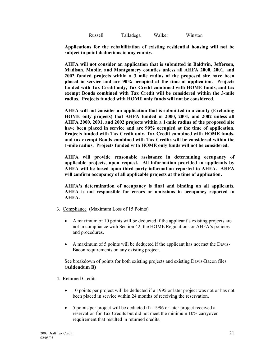Russell Talladega Walker Winston

**Applications for the rehabilitation of existing residential housing will not be subject to point deductions in any county.**

**AHFA will not consider an application that is submitted in Baldwin, Jefferson, Madison, Mobile, and Montgomery counties unless all AHFA 2000, 2001, and 2002 funded projects within a 3 mile radius of the proposed site have been placed in service and are 90% occupied at the time of application. Projects funded with Tax Credit only, Tax Credit combined with HOME funds, and tax exempt Bonds combined with Tax Credit will be considered within the 3-mile radius. Projects funded with HOME only funds will not be considered.** 

**AHFA will not consider an application that is submitted in a county (Excluding HOME only projects) that AHFA funded in 2000, 2001, and 2002 unless all AHFA 2000, 2001, and 2002 projects within a 1-mile radius of the proposed site have been placed in service and are 90% occupied at the time of application. Projects funded with Tax Credit only, Tax Credit combined with HOME funds, and tax exempt Bonds combined with Tax Credits will be considered within the 1-mile radius. Projects funded with HOME only funds will not be considered.**

**AHFA will provide reasonable assistance in determining occupancy of applicable projects, upon request. All information provided to applicants by AHFA will be based upon third party information reported to AHFA. AHFA will confirm occupancy of all applicable projects at the time of application.** 

**AHFA's determination of occupancy is final and binding on all applicants. AHFA is not responsible for errors or omissions in occupancy reported to AHFA.**

- 3. Compliance (Maximum Loss of 15 Points)
	- A maximum of 10 points will be deducted if the applicant's existing projects are not in compliance with Section 42, the HOME Regulations or AHFA's policies and procedures.
	- A maximum of 5 points will be deducted if the applicant has not met the Davis-Bacon requirements on any existing project.

See breakdown of points for both existing projects and existing Davis-Bacon files. **(Addendum B)**

- 4. Returned Credits
	- 10 points per project will be deducted if a 1995 or later project was not or has not been placed in service within 24 months of receiving the reservation.
	- 5 points per project will be deducted if a 1996 or later project received a reservation for Tax Credits but did not meet the minimum 10% carryover requirement that resulted in returned credits.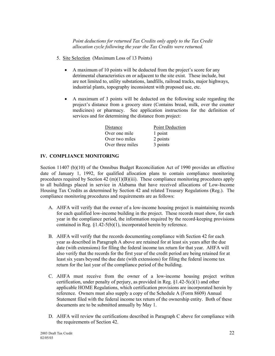*Point deductions for returned Tax Credits only apply to the Tax Credit allocation cycle following the year the Tax Credits were returned.*

- 5. Site Selection (Maximum Loss of 13 Points)
	- A maximum of 10 points will be deducted from the project's score for any detrimental characteristics on or adjacent to the site exist. These include, but are not limited to, utility substations, landfills, railroad tracks, major highways, industrial plants, topography inconsistent with proposed use, etc.
	- A maximum of 3 points will be deducted on the following scale regarding the project's distance from a grocery store (Contains bread, milk, over the counter medicines) or pharmacy. See application instructions for the definition of services and for determining the distance from project:

| <b>Point Deduction</b> |
|------------------------|
| 1 point                |
| 2 points               |
| 3 points               |
|                        |

#### **IV. COMPLIANCE MONITORING**

Section 11407 (b)(10) of the Omnibus Budget Reconciliation Act of 1990 provides an effective date of January 1, 1992, for qualified allocation plans to contain compliance monitoring procedures required by Section  $42 \text{ (m)}(1)(B)(iii)$ . These compliance monitoring procedures apply to all buildings placed in service in Alabama that have received allocations of Low-Income Housing Tax Credits as determined by Section 42 and related Treasury Regulations (Reg.). The compliance monitoring procedures and requirements are as follows:

- A. AHFA will verify that the owner of a low-income housing project is maintaining records for each qualified low-income building in the project. These records must show, for each year in the compliance period, the information required by the record-keeping provisions contained in Reg. §1.42-5(b)(1), incorporated herein by reference.
- B. AHFA will verify that the records documenting compliance with Section 42 for each year as described in Paragraph A above are retained for at least six years after the due date (with extensions) for filing the federal income tax return for that year. AHFA will also verify that the records for the first year of the credit period are being retained for at least six years beyond the due date (with extensions) for filing the federal income tax return for the last year of the compliance period of the building.
- C. AHFA must receive from the owner of a low-income housing project written certification, under penalty of perjury, as provided in Reg.  $\S1.42-5(c)(1)$  and other applicable HOME Regulations, which certification provisions are incorporated herein by reference. Owners must also supply a copy of the Schedule A (Form 8609) Annual Statement filed with the federal income tax return of the ownership entity. Both of these documents are to be submitted annually by May 1.
- D. AHFA will review the certifications described in Paragraph C above for compliance with the requirements of Section 42.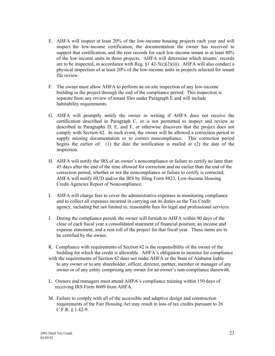- E. AHFA will inspect at least 20% of the low-income housing projects each year and will inspect the low-income certification, the documentation the owner has received to support that certification, and the rent records for each low-income tenant in at least 40% of the low-income units in those projects. AHFA will determine which tenants' records are to be inspected, in accordance with Reg.  $\S1.42-5(c)(2)(iii)$ . AHFA will also conduct a physical inspection of at least 20% of the low-income units in projects selected for tenant file review.
- F. The owner must allow AHFA to perform an on-site inspection of any low-income building in the project through the end of the compliance period. This inspection is separate from any review of tenant files under Paragraph E and will include habitability requirements.
- G. AHFA will promptly notify the owner in writing if AHFA does not receive the certification described in Paragraph C, or is not permitted to inspect and review as described in Paragraphs D, E, and F, or otherwise discovers that the project does not comply with Section 42. In such event, the owner will be allowed a correction period to supply missing documentation or to correct noncompliance. This correction period begins the earlier of: (1) the date the notification is mailed or (2) the date of the inspection.
- H. AHFA will notify the IRS of an owner's noncompliance or failure to certify no later than 45 days after the end of the time allowed for correction and no earlier than the end of the correction period, whether or not the noncompliance or failure to certify is corrected. AHFA will notify HUD and/or the IRS by filing Form 8823, Low-Income Housing Credit Agencies Report of Noncompliance.
- I. AHFA will charge fees to cover the administrative expenses in monitoring compliance and to collect all expenses incurred in carrying out its duties as the Tax Credit agency, including but not limited to, reasonable fees for legal and professional services.
- J. During the compliance period, the owner will furnish to AHFA within 90 days of the close of each fiscal year a consolidated statement of financial position, an income and expense statement, and a rent roll of the project for that fiscal year. These items are to be certified by the owner.

K. Compliance with requirements of Section 42 is the responsibility of the owner of the building for which the credit is allowable. AHFA's obligation to monitor for compliance with the requirements of Section 42 does not make AHFA or the State of Alabama liable to any owner or to any shareholder, officer, director, partner, member or manager of any owner or of any entity comprising any owner for an owner's non-compliance therewith.

- L. Owners and managers must attend AHFA's compliance training within 150 days of receiving IRS Form 8609 from AHFA.
- M. Failure to comply with all of the accessible and adaptive design and construction requirements of the Fair Housing Act may result in loss of tax credits pursuant to 26 C.F.R. § 1.42-9.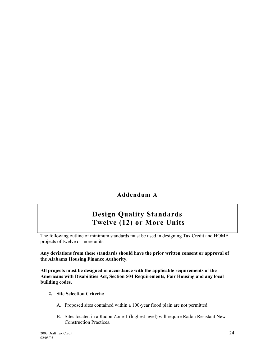**Addendum A**

# **Design Quality Standards Twelve (12) or More Units**

The following outline of minimum standards must be used in designing Tax Credit and HOME projects of twelve or more units.

**Any deviations from these standards should have the prior written consent or approval of the Alabama Housing Finance Authority.**

**All projects must be designed in accordance with the applicable requirements of the Americans with Disabilities Act, Section 504 Requirements, Fair Housing and any local building codes.**

- **2. Site Selection Criteria:**
	- A. Proposed sites contained within a 100-year flood plain are not permitted.
	- B. Sites located in a Radon Zone-1 (highest level) will require Radon Resistant New Construction Practices.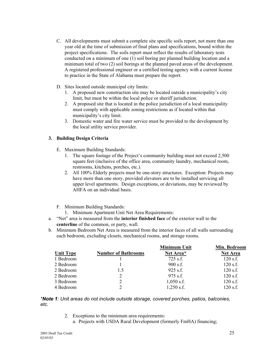- C. All developments must submit a complete site specific soils report, not more than one year old at the time of submission of final plans and specifications, bound within the project specifications. The soils report must reflect the results of laboratory tests conducted on a minimum of one (1) soil boring per planned building location and a minimum total of two (2) soil borings at the planned paved areas of the development. A registered professional engineer or a certified testing agency with a current license to practice in the State of Alabama must prepare the report.
- D. Sites located outside municipal city limits:
	- 1. A proposed new construction site may be located outside a municipality's city limit, but must be within the local police or sheriff jurisdiction.
	- 2. A proposed site that is located in the police jurisdiction of a local municipality must comply with applicable zoning restrictions as if located within that municipality's city limit.
	- 3. Domestic water and fire water service must be provided to the development by the local utility service provider.

#### **3. Building Design Criteria**

- E. Maximum Building Standards:
	- 1. The square footage of the Project's community building must not exceed 2,500 square feet (inclusive of the office area, community laundry, mechanical room, restrooms, kitchens, porches, etc.).
	- 2. All 100% Elderly projects must be one-story structures. Exception: Projects may have more than one story, provided elevators are to be installed servicing all upper level apartments. Design exceptions, or deviations, may be reviewed by AHFA on an individual basis.
- F. Minimum Building Standards:
	- 1. Minimum Apartment Unit Net Area Requirements:
- a. "Net" area is measured from the **interior finished face** of the exterior wall to the **centerline** of the common, or party, wall.
- b. Minimum Bedroom Net Area is measured from the interior faces of all walls surrounding each bedroom, excluding closets, mechanical rooms, and storage rooms.

|                            | <b>Minimum Unit</b> | Min. Bedroom    |
|----------------------------|---------------------|-----------------|
| <b>Number of Bathrooms</b> | Net Area*           | <b>Net Area</b> |
|                            | $725$ s.f.          | $120$ s.f.      |
|                            | $900$ s.f.          | $120$ s.f.      |
| 1.5                        | $925$ s.f.          | $120$ s.f.      |
| $\overline{2}$             | $975$ s.f.          | $120$ s.f.      |
| $\overline{2}$             | $1,050$ s.f.        | $120$ s.f.      |
| $\overline{2}$             | $1,250$ s.f.        | $120$ s.f.      |
|                            |                     |                 |

*\*Note 1: Unit areas do not include outside storage, covered porches, patios, balconies, etc.*

- 2. Exceptions to the minimum area requirements:
	- a. Projects with USDA Rural Development (formerly FmHA) financing;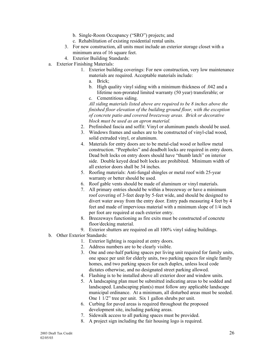- b. Single-Room Occupancy ("SRO") projects; and
- c. Rehabilitation of existing residential rental units.
- 3. For new construction, all units must include an exterior storage closet with a minimum area of 16 square feet.
- 4. Exterior Building Standards:
- a. Exterior Finishing Materials:
	- 1. Exterior building coverings: For new construction, very low maintenance materials are required. Acceptable materials include:
		- a. Brick;
		- b. High quality vinyl siding with a minimum thickness of .042 and a lifetime non-prorated limited warranty (50 year) transferable; or
		- c. Cementitious siding.

*All siding materials listed above are required to be 8 inches above the finished floor elevation of the building ground floor, with the exception of concrete patio and covered breezeway areas. Brick or decorative block must be used as an apron material.*

- 2. Prefinished fascia and soffit: Vinyl or aluminum panels should be used.
- 3. Windows frames and sashes are to be constructed of vinyl-clad wood, solid extruded vinyl, or aluminum.
- 4. Materials for entry doors are to be metal-clad wood or hollow metal construction. "Peepholes" and deadbolt locks are required in entry doors. Dead bolt locks on entry doors should have "thumb latch" on interior side. Double keyed dead bolt locks are prohibited. Minimum width of all exterior doors shall be 34 inches.
- 5. Roofing materials: Anti-fungal shingles or metal roof with 25-year warranty or better should be used.
- 6. Roof gable vents should be made of aluminum or vinyl materials.
- 7. All primary entries should be within a breezeway or have a minimum roof covering of 3-feet deep by 5-feet wide, and should be designed to divert water away from the entry door. Entry pads measuring 4 feet by 4 feet and made of impervious material with a minimum slope of 1/4 inch per foot are required at each exterior entry.
- 8. Breezeways functioning as fire exits must be constructed of concrete floor/decking material.
- 9. Exterior shutters are required on all 100% vinyl siding buildings.
- b. Other Exterior Standards:
	- 1. Exterior lighting is required at entry doors.
	- 2. Address numbers are to be clearly visible.
	- 3. One and one-half parking spaces per living unit required for family units, one space per unit for elderly units, two parking spaces for single family homes, and two parking spaces for each duplex, unless local code dictates otherwise, and no designated street parking allowed.
	- 4. Flashing is to be installed above all exterior door and window units.
	- 5. A landscaping plan must be submitted indicating areas to be sodded and landscaped. Landscaping plan(s) must follow any applicable landscape municipal ordinance. At a minimum, all disturbed areas must be seeded. One 1 1/2" tree per unit. Six 1 gallon shrubs per unit.
	- 6. Curbing for paved areas is required throughout the proposed development site, including parking areas.
	- 7. Sidewalk access to all parking spaces must be provided.
	- 8. A project sign including the fair housing logo is required.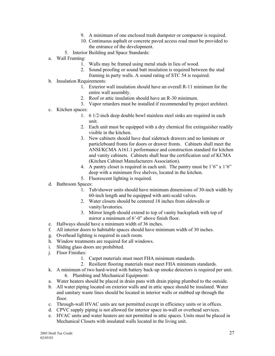- 9. A minimum of one enclosed trash dumpster or compactor is required.
- 10. Continuous asphalt or concrete paved access road must be provided to the entrance of the development.
- 5. Interior Building and Space Standards:
- a. Wall Framing:
	- 1. Walls may be framed using metal studs in lieu of wood.
	- 2. Sound proofing or sound batt insulation is required between the stud
	- framing in party walls. A sound rating of STC 54 is required.
- b. Insulation Requirements:
	- 1. Exterior wall insulation should have an overall R-11 minimum for the entire wall assembly.
	- 2. Roof or attic insulation should have an R-30 minimum.
	- 3. Vapor retarders must be installed if recommended by project architect.
- c. Kitchen spaces:
	- 1. 6 1/2-inch deep double bowl stainless steel sinks are required in each unit.
	- 2. Each unit must be equipped with a dry chemical fire extinguisher readily visible in the kitchen.
	- 3. New cabinets should have dual sidetrack drawers and no laminate or particleboard fronts for doors or drawer fronts. Cabinets shall meet the ANSI/KCMA A161.1 performance and construction standard for kitchen and vanity cabinets. Cabinets shall bear the certification seal of KCMA (Kitchen Cabinet Manufacturers Association).
	- 4. A pantry closet is required in each unit. The pantry must be 1'6" x 1'6" deep with a minimum five shelves, located in the kitchen.
	- 5. Fluorescent lighting is required.
- d. Bathroom Spaces:
	- 1. Tub/shower units should have minimum dimensions of 30-inch width by 60-inch length and be equipped with anti-scald valves.
	- 2. Water closets should be centered 18 inches from sidewalls or vanity/lavatories.
	- 3. Mirror length should extend to top of vanity backsplash with top of mirror a minimum of 6'-0" above finish floor.
- e. Hallways should have a minimum width of 36 inches.
- f. All interior doors to habitable spaces should have minimum width of 30 inches.
- g. Overhead lighting is required in each room.
- h. Window treatments are required for all windows.
- i. Sliding glass doors are prohibited.
- j. Floor Finishes:
	- 1. Carpet materials must meet FHA minimum standards.
	- 2. Resilient flooring materials must meet FHA minimum standards.
- k. A minimum of two hard-wired with battery back-up smoke detectors is required per unit. 6. Plumbing and Mechanical Equipment:
- a. Water heaters should be placed in drain pans with drain piping plumbed to the outside.
- b. All water piping located on exterior walls and in attic space should be insulated. Water and sanitary waste lines should be located in interior walls or stubbed up through the floor.
- c. Through-wall HVAC units are not permitted except in efficiency units or in offices.
- d. CPVC supply piping is not allowed for interior space in-wall or overhead services.
- e. HVAC units and water heaters are not permitted in attic spaces. Units must be placed in Mechanical Closets with insulated walls located in the living unit.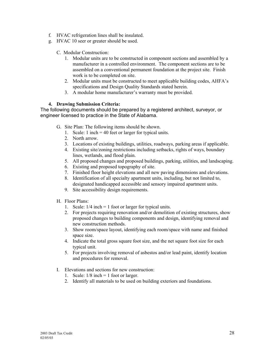- f. HVAC refrigeration lines shall be insulated.
- g. HVAC 10 seer or greater should be used.
	- C. Modular Construction:
		- 1. Modular units are to be constructed in component sections and assembled by a manufacturer in a controlled environment. The component sections are to be assembled on a conventional permanent foundation at the project site. Finish work is to be completed on site.
		- 2. Modular units must be constructed to meet applicable building codes, AHFA's specifications and Design Quality Standards stated herein.
		- 3. A modular home manufacturer's warranty must be provided.

#### **4. Drawing Submission Criteria:**

The following documents should be prepared by a registered architect, surveyor, or engineer licensed to practice in the State of Alabama.

- G. Site Plan: The following items should be shown.
	- 1. Scale: 1 inch = 40 feet or larger for typical units.
	- 2. North arrow.
	- 3. Locations of existing buildings, utilities, roadways, parking areas if applicable.
	- 4. Existing site/zoning restrictions including setbacks, rights of ways, boundary lines, wetlands, and flood plain.
	- 5. All proposed changes and proposed buildings, parking, utilities, and landscaping.
	- 6. Existing and proposed topography of site.
	- 7. Finished floor height elevations and all new paving dimensions and elevations.
	- 8. Identification of all specialty apartment units, including, but not limited to, designated handicapped accessible and sensory impaired apartment units.
	- 9. Site accessibility design requirements.
- H. Floor Plans:
	- 1. Scale:  $1/4$  inch = 1 foot or larger for typical units.
	- 2. For projects requiring renovation and/or demolition of existing structures, show proposed changes to building components and design, identifying removal and new construction methods.
	- 3. Show room/space layout, identifying each room/space with name and finished space size.
	- 4. Indicate the total gross square foot size, and the net square foot size for each typical unit.
	- 5. For projects involving removal of asbestos and/or lead paint, identify location and procedures for removal.
- I. Elevations and sections for new construction:
	- 1. Scale:  $1/8$  inch = 1 foot or larger.
	- 2. Identify all materials to be used on building exteriors and foundations.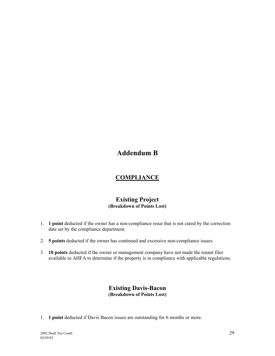# **Addendum B**

# **COMPLIANCE**

## **Existing Project (Breakdown of Points Lost)**

- 1. **1 point** deducted if the owner has a non-compliance issue that is not cured by the correction date set by the compliance department.
- 2. **5 points** deducted if the owner has continued and excessive non-compliance issues.
- 3. **10 points** deducted if the owner or management company have not made the tenant files available to AHFA to determine if the property is in compliance with applicable regulations.

## **Existing Davis-Bacon (Breakdown of Points Lost)**

1. **1 point** deducted if Davis Bacon issues are outstanding for 6 months or more.